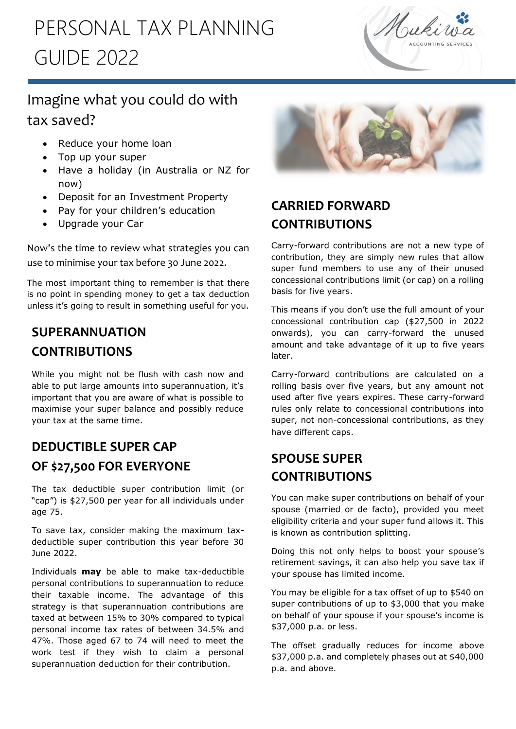## PERSONAL TAX PLANNING GUIDE 2022



## Imagine what you could do with tax saved?

- Reduce your home loan
- Top up your super

l.

- Have a holiday (in Australia or NZ for now)
- Deposit for an Investment Property
- Pay for your children's education
- Upgrade your Car

Now's the time to review what strategies you can use to minimise your tax before 30 June 2022.

The most important thing to remember is that there is no point in spending money to get a tax deduction unless it's going to result in something useful for you.

## **SUPERANNUATION CONTRIBUTIONS**

While you might not be flush with cash now and able to put large amounts into superannuation, it's important that you are aware of what is possible to maximise your super balance and possibly reduce your tax at the same time.

## **DEDUCTIBLE SUPER CAP OF \$27,500 FOR EVERYONE**

The tax deductible super contribution limit (or "cap") is \$27,500 per year for all individuals under age 75.

To save tax, consider making the maximum taxdeductible super contribution this year before 30 June 2022.

Individuals **may** be able to make tax-deductible personal contributions to superannuation to reduce their taxable income. The advantage of this strategy is that superannuation contributions are taxed at between 15% to 30% compared to typical personal income tax rates of between 34.5% and 47%. Those aged 67 to 74 will need to meet the work test if they wish to claim a personal superannuation deduction for their contribution.



## **CARRIED FORWARD CONTRIBUTIONS**

Carry-forward contributions are not a new type of contribution, they are simply new rules that allow super fund members to use any of their unused concessional contributions limit (or cap) on a rolling basis for five years.

This means if you don't use the full amount of your concessional contribution cap (\$27,500 in 2022 onwards), you can carry-forward the unused amount and take advantage of it up to five years later.

Carry-forward contributions are calculated on a rolling basis over five years, but any amount not used after five years expires. These carry-forward rules only relate to concessional contributions into super, not non-concessional contributions, as they have different caps.

## **SPOUSE SUPER CONTRIBUTIONS**

You can make super contributions on behalf of your spouse (married or de facto), provided you meet eligibility criteria and your super fund allows it. This is known as contribution splitting.

Doing this not only helps to boost your spouse's retirement savings, it can also help you save tax if your spouse has limited income.

You may be eligible for a tax offset of up to \$540 on super contributions of up to \$3,000 that you make on behalf of your spouse if your spouse's income is \$37,000 p.a. or less.

The offset gradually reduces for income above \$37,000 p.a. and completely phases out at \$40,000 p.a. and above.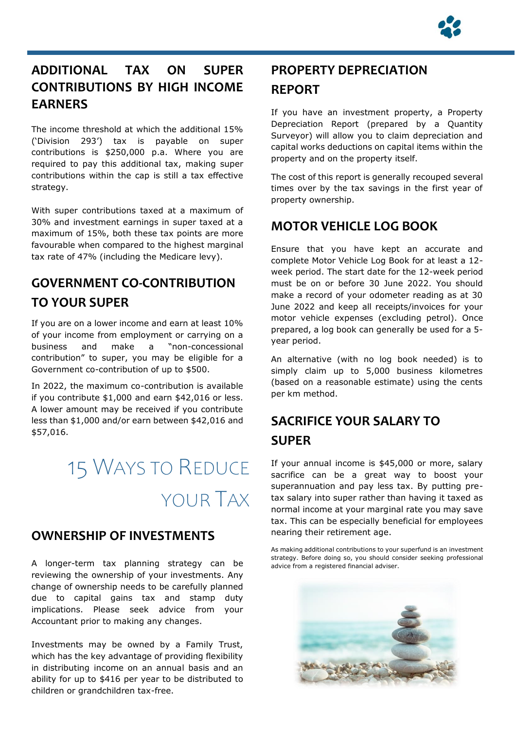

### **ADDITIONAL TAX ON SUPER CONTRIBUTIONS BY HIGH INCOME EARNERS**

The income threshold at which the additional 15% ('Division 293') tax is payable on super contributions is \$250,000 p.a. Where you are required to pay this additional tax, making super contributions within the cap is still a tax effective strategy.

With super contributions taxed at a maximum of 30% and investment earnings in super taxed at a maximum of 15%, both these tax points are more favourable when compared to the highest marginal tax rate of 47% (including the Medicare levy).

## **GOVERNMENT CO-CONTRIBUTION TO YOUR SUPER**

If you are on a lower income and earn at least 10% of your income from employment or carrying on a business and make a "non-concessional contribution" to super, you may be eligible for a Government co-contribution of up to \$500.

In 2022, the maximum co-contribution is available if you contribute \$1,000 and earn \$42,016 or less. A lower amount may be received if you contribute less than \$1,000 and/or earn between \$42,016 and \$57,016.

# 15 WAYS TO REDUCE YOUR TAX

#### **OWNERSHIP OF INVESTMENTS**

A longer-term tax planning strategy can be reviewing the ownership of your investments. Any change of ownership needs to be carefully planned due to capital gains tax and stamp duty implications. Please seek advice from your Accountant prior to making any changes.

Investments may be owned by a Family Trust, which has the key advantage of providing flexibility in distributing income on an annual basis and an ability for up to \$416 per year to be distributed to children or grandchildren tax-free.

## **PROPERTY DEPRECIATION REPORT**

If you have an investment property, a Property Depreciation Report (prepared by a Quantity Surveyor) will allow you to claim depreciation and capital works deductions on capital items within the property and on the property itself.

The cost of this report is generally recouped several times over by the tax savings in the first year of property ownership.

### **MOTOR VEHICLE LOG BOOK**

Ensure that you have kept an accurate and complete Motor Vehicle Log Book for at least a 12 week period. The start date for the 12-week period must be on or before 30 June 2022. You should make a record of your odometer reading as at 30 June 2022 and keep all receipts/invoices for your motor vehicle expenses (excluding petrol). Once prepared, a log book can generally be used for a 5 year period.

An alternative (with no log book needed) is to simply claim up to 5,000 business kilometres (based on a reasonable estimate) using the cents per km method.

## **SACRIFICE YOUR SALARY TO SUPER**

If your annual income is \$45,000 or more, salary sacrifice can be a great way to boost your superannuation and pay less tax. By putting pretax salary into super rather than having it taxed as normal income at your marginal rate you may save tax. This can be especially beneficial for employees nearing their retirement age.

As making additional contributions to your superfund is an investment strategy. Before doing so, you should consider seeking professional advice from a registered financial adviser.